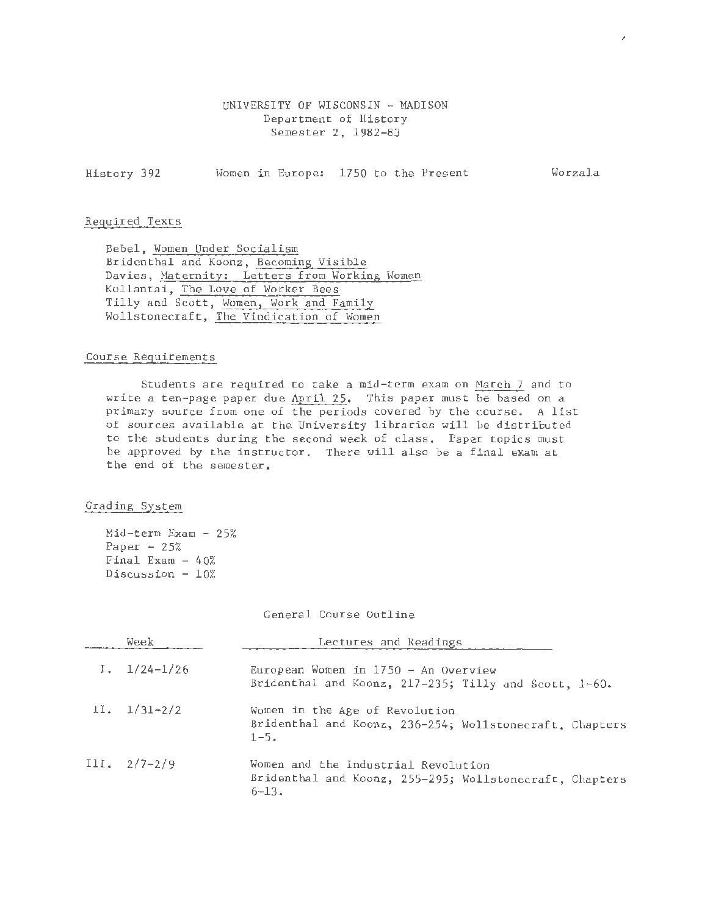## UNIVERSITY OF WISCONSIN - MADISON Department of History Semester 2, 1982-83

History 392 Women in Europe: 1750 to the Present Worzala

## Required Texts

Bebel, Women Under Socialism Bridenthal and Koonz, Becoming Visible Davies, Maternity: Letters from Working Women Kollantai, The Love of Worker Bees Tilly and Scott, Women, Work and Family Wollstonecraft, The Vindication of Women

## Course Requirements

Students are required to take a mid-term exam on March 7 and to write a ten-page paper due April 25. This paper must be based on a primary source from one of the periods covered by the course. A list of sources available at the University libraries will be distributed to the students during the second week of class. Paper topics must be approved by the instructor. There will also be a final exam at the end of the semester.

## Grading System

Mid-term Exam - 25% Paper  $-25%$ Final Exam  $-40%$ Discussion  $-10%$ 

General Course Outline

| Week                          | Lectures and Readings                                                                                        |
|-------------------------------|--------------------------------------------------------------------------------------------------------------|
| $1.1/24-1/26$                 | European Women in $1750 - An$ Overview<br>Bridenthal and Koonz, 217-235; Tilly and Scott, 1-60.              |
| $\frac{11.} \frac{1}{31-2/2}$ | Women in the Age of Revolution<br>Bridenthal and Koonz, 236-254; Wollstonecraft, Chapters<br>$1 - 5.$        |
| $III. 2/7-2/9$                | Women and the Industrial Revolution<br>Bridenthal and Koonz, 255-295; Wollstonecraft, Chapters<br>$6 - 13$ . |